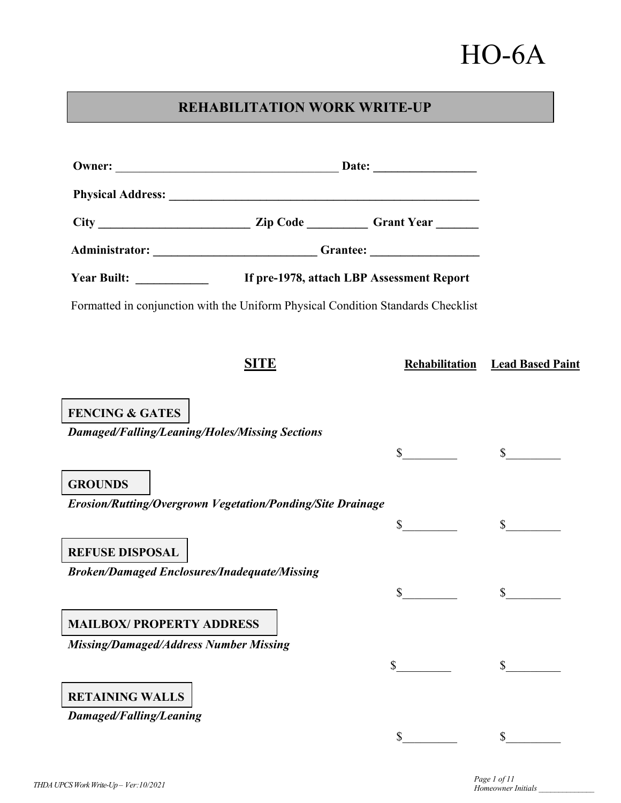# HO-6A

# **REHABILITATION WORK WRITE-UP**

|                                                            |             | Administrator: Channel Channel Channel Channel Channel Channel Channel Channel Channel Channel Channel Channel Channel Channel Channel Channel Channel Channel Channel Channel Channel Channel Channel Channel Channel Channel |                         |
|------------------------------------------------------------|-------------|--------------------------------------------------------------------------------------------------------------------------------------------------------------------------------------------------------------------------------|-------------------------|
|                                                            |             | If pre-1978, attach LBP Assessment Report                                                                                                                                                                                      |                         |
|                                                            |             | Formatted in conjunction with the Uniform Physical Condition Standards Checklist                                                                                                                                               |                         |
|                                                            | <b>SITE</b> | Rehabilitation                                                                                                                                                                                                                 | <b>Lead Based Paint</b> |
| <b>FENCING &amp; GATES</b>                                 |             |                                                                                                                                                                                                                                |                         |
| <b>Damaged/Falling/Leaning/Holes/Missing Sections</b>      |             |                                                                                                                                                                                                                                |                         |
|                                                            |             | $\mathbb{S}$                                                                                                                                                                                                                   | $\mathbb{S}$            |
| <b>GROUNDS</b>                                             |             |                                                                                                                                                                                                                                |                         |
| Erosion/Rutting/Overgrown Vegetation/Ponding/Site Drainage |             |                                                                                                                                                                                                                                |                         |
|                                                            |             | \$                                                                                                                                                                                                                             | $\mathbb{S}$            |
| <b>REFUSE DISPOSAL</b>                                     |             |                                                                                                                                                                                                                                |                         |
| <b>Broken/Damaged Enclosures/Inadequate/Missing</b>        |             |                                                                                                                                                                                                                                |                         |
|                                                            |             | \$                                                                                                                                                                                                                             | $\mathbb{S}$            |
| <b>MAILBOX/ PROPERTY ADDRESS</b>                           |             |                                                                                                                                                                                                                                |                         |
| <b>Missing/Damaged/Address Number Missing</b>              |             |                                                                                                                                                                                                                                |                         |
|                                                            |             |                                                                                                                                                                                                                                |                         |
| <b>RETAINING WALLS</b>                                     |             |                                                                                                                                                                                                                                |                         |
| Damaged/Falling/Leaning                                    |             |                                                                                                                                                                                                                                |                         |
|                                                            |             | \$                                                                                                                                                                                                                             | $\mathbb{S}^-$          |

*Homeowner Initials \_\_\_\_\_\_\_\_\_\_\_\_\_\_*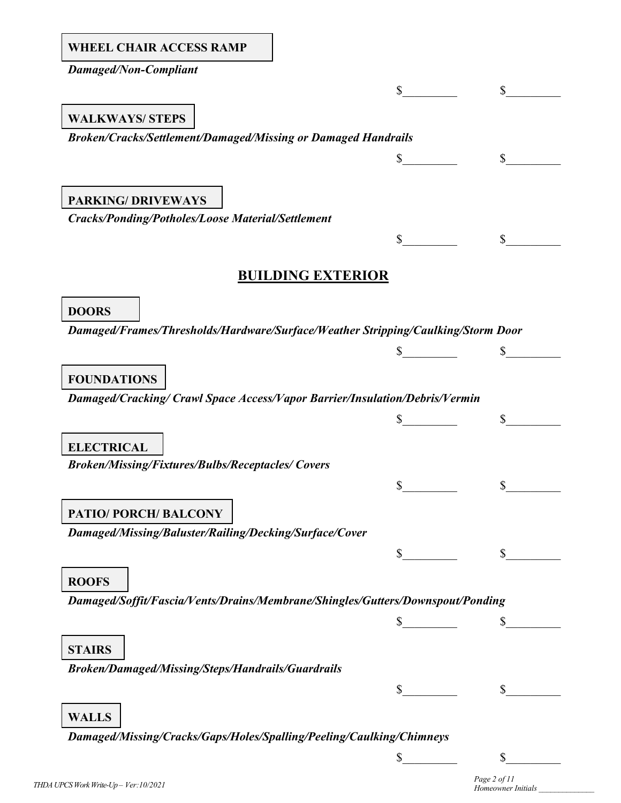| <b>WHEEL CHAIR ACCESS RAMP</b> |
|--------------------------------|
|                                |

*Damaged/Non-Compliant*

# $\circ$   $\circ$ *Broken/Cracks/Settlement/Damaged/Missing or Damaged Handrails*  $\sim$  \$ *Cracks/Ponding/Potholes/Loose Material/Settlement*  $\frac{\text{S}}{\text{S}}$   $\frac{\text{S}}{\text{S}}$ **BUILDING EXTERIOR** *Damaged/Frames/Thresholds/Hardware/Surface/Weather Stripping/Caulking/Storm Door*  $\sim$  \$ *Damaged/Cracking/ Crawl Space Access/Vapor Barrier/Insulation/Debris/Vermin*  $\mathbb$   $\mathbb$   $\mathbb$   $\mathbb$   $\mathbb$   $\mathbb$   $\mathbb$ *Broken/Missing/Fixtures/Bulbs/Receptacles/ Covers*  $\circ$   $\circ$ *Damaged/Missing/Baluster/Railing/Decking/Surface/Cover*  $\mathbb{S}$   $\mathbb{S}$ *Damaged/Soffit/Fascia/Vents/Drains/Membrane/Shingles/Gutters/Downspout/Ponding*   $\frac{\text{S}}{\text{S}}$   $\frac{\text{S}}{\text{S}}$ *Broken/Damaged/Missing/Steps/Handrails/Guardrails*  $\circ$   $\circ$ *Damaged/Missing/Cracks/Gaps/Holes/Spalling/Peeling/Caulking/Chimneys* **WALKWAYS/ STEPS PARKING/ DRIVEWAYS DOORS FOUNDATIONS ELECTRICAL PATIO/ PORCH/ BALCONY ROOFS STAIRS WALLS**

*Homeowner Initials \_\_\_\_\_\_\_\_\_\_\_\_\_\_*

 $\frac{1}{2}$   $\frac{1}{2}$   $\frac{1}{2}$   $\frac{1}{2}$   $\frac{1}{2}$   $\frac{1}{2}$   $\frac{1}{2}$   $\frac{1}{2}$   $\frac{1}{2}$   $\frac{1}{2}$   $\frac{1}{2}$   $\frac{1}{2}$   $\frac{1}{2}$   $\frac{1}{2}$   $\frac{1}{2}$   $\frac{1}{2}$   $\frac{1}{2}$   $\frac{1}{2}$   $\frac{1}{2}$   $\frac{1}{2}$   $\frac{1}{2}$   $\frac{1}{2}$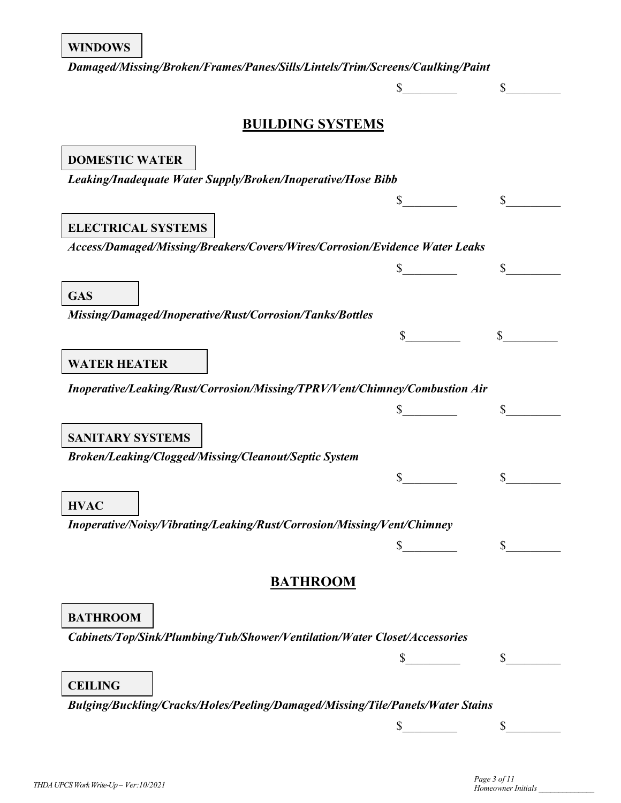*Damaged/Missing/Broken/Frames/Panes/Sills/Lintels/Trim/Screens/Caulking/Paint*

# **BUILDING SYSTEMS**

 $\frac{\sqrt{2}}{2}$   $\frac{\sqrt{2}}{2}$ 

| <b>DOMESTIC WATER</b>                                                          |          |
|--------------------------------------------------------------------------------|----------|
| Leaking/Inadequate Water Supply/Broken/Inoperative/Hose Bibb                   |          |
|                                                                                | \$       |
|                                                                                |          |
| <b>ELECTRICAL SYSTEMS</b>                                                      |          |
| Access/Damaged/Missing/Breakers/Covers/Wires/Corrosion/Evidence Water Leaks    |          |
|                                                                                | \$       |
| <b>GAS</b>                                                                     |          |
| Missing/Damaged/Inoperative/Rust/Corrosion/Tanks/Bottles                       |          |
|                                                                                |          |
|                                                                                |          |
| <b>WATER HEATER</b>                                                            |          |
| Inoperative/Leaking/Rust/Corrosion/Missing/TPRV/Vent/Chimney/Combustion Air    |          |
|                                                                                |          |
|                                                                                |          |
| <b>SANITARY SYSTEMS</b>                                                        |          |
| Broken/Leaking/Clogged/Missing/Cleanout/Septic System                          |          |
|                                                                                |          |
| <b>HVAC</b>                                                                    |          |
| Inoperative/Noisy/Vibrating/Leaking/Rust/Corrosion/Missing/Vent/Chimney        |          |
|                                                                                |          |
|                                                                                |          |
| <b>BATHROOM</b>                                                                |          |
|                                                                                |          |
| <b>BATHROOM</b>                                                                |          |
| Cabinets/Top/Sink/Plumbing/Tub/Shower/Ventilation/Water Closet/Accessories     |          |
|                                                                                | \$       |
|                                                                                |          |
| <b>CEILING</b>                                                                 |          |
| Bulging/Buckling/Cracks/Holes/Peeling/Damaged/Missing/Tile/Panels/Water Stains |          |
|                                                                                | \$<br>\$ |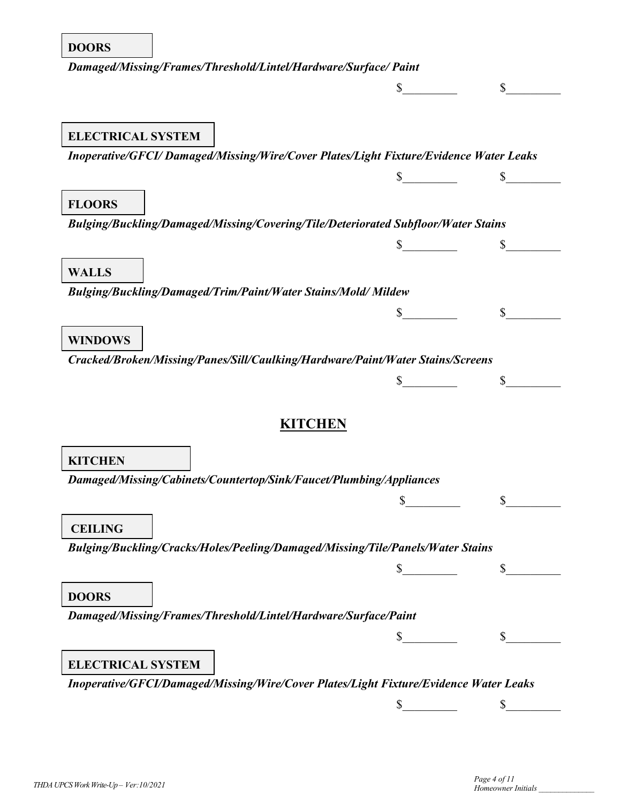#### **DOORS**

| Damaged/Missing/Frames/Threshold/Lintel/Hardware/Surface/ Paint                       |                  |  |
|---------------------------------------------------------------------------------------|------------------|--|
|                                                                                       |                  |  |
| <b>ELECTRICAL SYSTEM</b>                                                              |                  |  |
| Inoperative/GFCI/Damaged/Missing/Wire/Cover Plates/Light Fixture/Evidence Water Leaks |                  |  |
|                                                                                       | $\sim$           |  |
|                                                                                       |                  |  |
| <b>FLOORS</b>                                                                         |                  |  |
| Bulging/Buckling/Damaged/Missing/Covering/Tile/Deteriorated Subfloor/Water Stains     |                  |  |
|                                                                                       | <u> Maria Ma</u> |  |
| <b>WALLS</b>                                                                          |                  |  |
| Bulging/Buckling/Damaged/Trim/Paint/Water Stains/Mold/Mildew                          |                  |  |
|                                                                                       |                  |  |
|                                                                                       |                  |  |
| <b>WINDOWS</b>                                                                        |                  |  |
| Cracked/Broken/Missing/Panes/Sill/Caulking/Hardware/Paint/Water Stains/Screens        |                  |  |
|                                                                                       | $\mathbb S$      |  |
|                                                                                       | <b>KITCHEN</b>   |  |
|                                                                                       |                  |  |
| <b>KITCHEN</b>                                                                        |                  |  |
| Damaged/Missing/Cabinets/Countertop/Sink/Faucet/Plumbing/Appliances                   |                  |  |
|                                                                                       |                  |  |
| <b>CEILING</b>                                                                        |                  |  |
| Bulging/Buckling/Cracks/Holes/Peeling/Damaged/Missing/Tile/Panels/Water Stains        |                  |  |
|                                                                                       |                  |  |
|                                                                                       |                  |  |
| <b>DOORS</b>                                                                          |                  |  |
| Damaged/Missing/Frames/Threshold/Lintel/Hardware/Surface/Paint                        |                  |  |
|                                                                                       |                  |  |
| <b>ELECTRICAL SYSTEM</b>                                                              |                  |  |
| Inoperative/GFCI/Damaged/Missing/Wire/Cover Plates/Light Fixture/Evidence Water Leaks |                  |  |
|                                                                                       | \$               |  |
|                                                                                       |                  |  |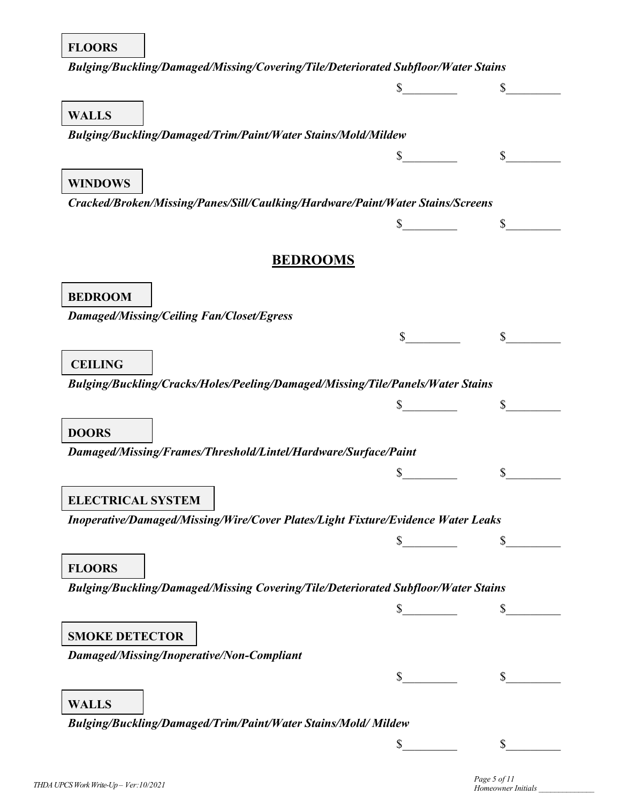### **FLOORS**

| Bulging/Buckling/Damaged/Missing/Covering/Tile/Deteriorated Subfloor/Water Stains                |                 |              |
|--------------------------------------------------------------------------------------------------|-----------------|--------------|
|                                                                                                  |                 |              |
| <b>WALLS</b>                                                                                     |                 |              |
| Bulging/Buckling/Damaged/Trim/Paint/Water Stains/Mold/Mildew                                     |                 |              |
|                                                                                                  | $\mathbb{S}^-$  | $\mathbb{S}$ |
|                                                                                                  |                 |              |
| <b>WINDOWS</b><br>Cracked/Broken/Missing/Panes/Sill/Caulking/Hardware/Paint/Water Stains/Screens |                 |              |
|                                                                                                  |                 |              |
|                                                                                                  |                 |              |
|                                                                                                  | <b>BEDROOMS</b> |              |
| <b>BEDROOM</b>                                                                                   |                 |              |
| <b>Damaged/Missing/Ceiling Fan/Closet/Egress</b>                                                 |                 |              |
|                                                                                                  |                 |              |
| <b>CEILING</b>                                                                                   |                 |              |
| Bulging/Buckling/Cracks/Holes/Peeling/Damaged/Missing/Tile/Panels/Water Stains                   |                 |              |
|                                                                                                  |                 |              |
|                                                                                                  |                 |              |
| <b>DOORS</b><br>Damaged/Missing/Frames/Threshold/Lintel/Hardware/Surface/Paint                   |                 |              |
|                                                                                                  |                 |              |
|                                                                                                  |                 |              |
| <b>ELECTRICAL SYSTEM</b>                                                                         |                 |              |
| Inoperative/Damaged/Missing/Wire/Cover Plates/Light Fixture/Evidence Water Leaks                 |                 |              |
|                                                                                                  |                 |              |
| <b>FLOORS</b>                                                                                    |                 |              |
| Bulging/Buckling/Damaged/Missing Covering/Tile/Deteriorated Subfloor/Water Stains                |                 |              |
|                                                                                                  |                 |              |
| <b>SMOKE DETECTOR</b>                                                                            |                 |              |
| Damaged/Missing/Inoperative/Non-Compliant                                                        |                 |              |
|                                                                                                  | $\mathbb{S}$    | \$           |
| <b>WALLS</b>                                                                                     |                 |              |
| Bulging/Buckling/Damaged/Trim/Paint/Water Stains/Mold/Mildew                                     |                 |              |
|                                                                                                  | \$              |              |
|                                                                                                  |                 |              |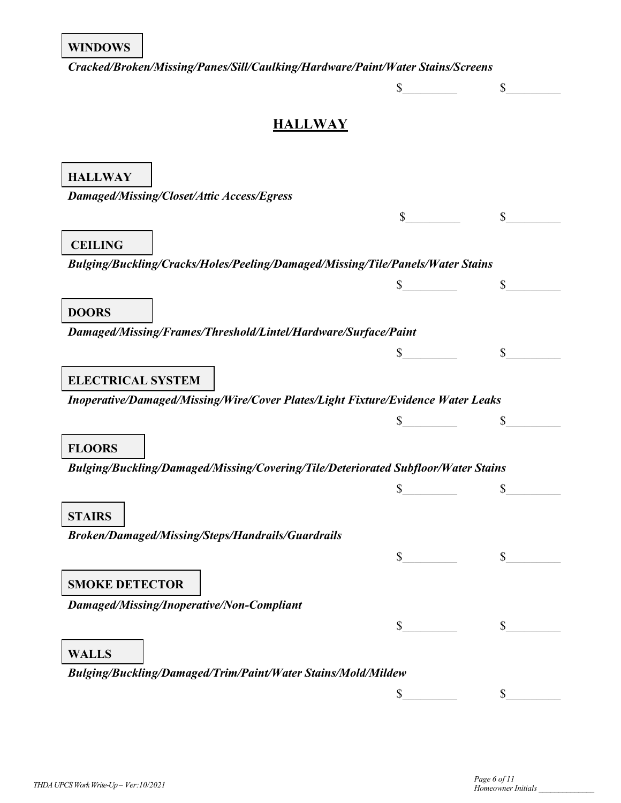*Cracked/Broken/Missing/Panes/Sill/Caulking/Hardware/Paint/Water Stains/Screens*

|                                                                                   | \$             | \$ |
|-----------------------------------------------------------------------------------|----------------|----|
| <b>HALLWAY</b>                                                                    |                |    |
|                                                                                   |                |    |
| <b>HALLWAY</b>                                                                    |                |    |
| Damaged/Missing/Closet/Attic Access/Egress                                        |                |    |
|                                                                                   |                |    |
| <b>CEILING</b>                                                                    |                |    |
| Bulging/Buckling/Cracks/Holes/Peeling/Damaged/Missing/Tile/Panels/Water Stains    |                |    |
|                                                                                   | \$             | \$ |
|                                                                                   |                |    |
| <b>DOORS</b>                                                                      |                |    |
| Damaged/Missing/Frames/Threshold/Lintel/Hardware/Surface/Paint                    |                |    |
|                                                                                   | \$             |    |
| <b>ELECTRICAL SYSTEM</b>                                                          |                |    |
| Inoperative/Damaged/Missing/Wire/Cover Plates/Light Fixture/Evidence Water Leaks  |                |    |
|                                                                                   |                | \$ |
| <b>FLOORS</b>                                                                     |                |    |
| Bulging/Buckling/Damaged/Missing/Covering/Tile/Deteriorated Subfloor/Water Stains |                |    |
|                                                                                   | \$             | \$ |
| <b>STAIRS</b>                                                                     |                |    |
| Broken/Damaged/Missing/Steps/Handrails/Guardrails                                 |                |    |
|                                                                                   | $\mathbb{S}^-$ | \$ |
|                                                                                   |                |    |
| <b>SMOKE DETECTOR</b>                                                             |                |    |
| Damaged/Missing/Inoperative/Non-Compliant                                         |                |    |
|                                                                                   | \$             | \$ |
| <b>WALLS</b>                                                                      |                |    |
| Bulging/Buckling/Damaged/Trim/Paint/Water Stains/Mold/Mildew                      |                |    |
|                                                                                   | \$             | \$ |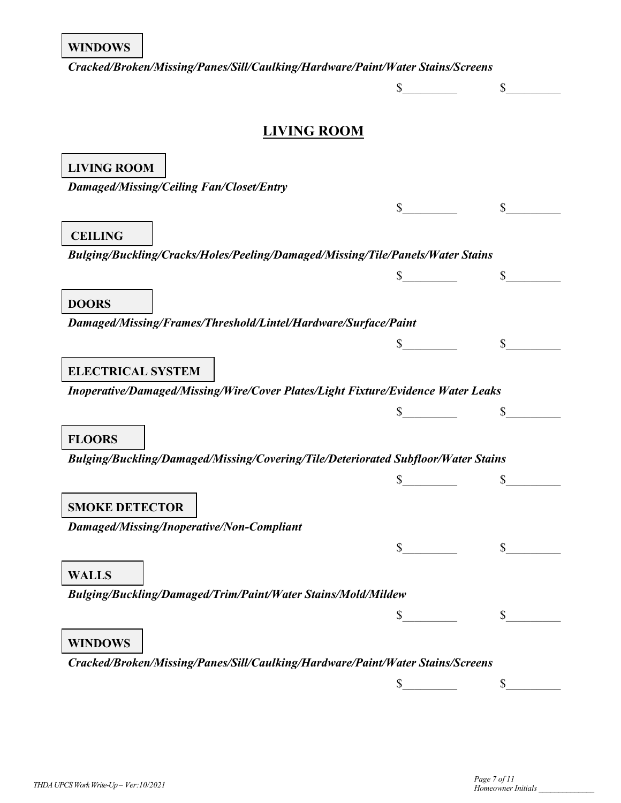#### **WINDOWS**

*Cracked/Broken/Missing/Panes/Sill/Caulking/Hardware/Paint/Water Stains/Screens*

 $\frac{\text{S}}{\text{S}}$   $\frac{\text{S}}{\text{S}}$ 

## **LIVING ROOM**

| <b>LIVING ROOM</b>                                                                |          |
|-----------------------------------------------------------------------------------|----------|
| <b>Damaged/Missing/Ceiling Fan/Closet/Entry</b>                                   |          |
|                                                                                   | \$       |
| <b>CEILING</b>                                                                    |          |
| Bulging/Buckling/Cracks/Holes/Peeling/Damaged/Missing/Tile/Panels/Water Stains    |          |
|                                                                                   | \$       |
| <b>DOORS</b>                                                                      |          |
| Damaged/Missing/Frames/Threshold/Lintel/Hardware/Surface/Paint                    |          |
|                                                                                   | \$<br>\$ |
| <b>ELECTRICAL SYSTEM</b>                                                          |          |
| Inoperative/Damaged/Missing/Wire/Cover Plates/Light Fixture/Evidence Water Leaks  |          |
|                                                                                   |          |
| <b>FLOORS</b>                                                                     |          |
| Bulging/Buckling/Damaged/Missing/Covering/Tile/Deteriorated Subfloor/Water Stains |          |
|                                                                                   | \$       |
| <b>SMOKE DETECTOR</b>                                                             |          |
| Damaged/Missing/Inoperative/Non-Compliant                                         |          |
|                                                                                   | \$       |
| <b>WALLS</b>                                                                      |          |
| Bulging/Buckling/Damaged/Trim/Paint/Water Stains/Mold/Mildew                      |          |
|                                                                                   |          |
| <b>WINDOWS</b>                                                                    |          |
| Cracked/Broken/Missing/Panes/Sill/Caulking/Hardware/Paint/Water Stains/Screens    |          |
|                                                                                   | \$<br>\$ |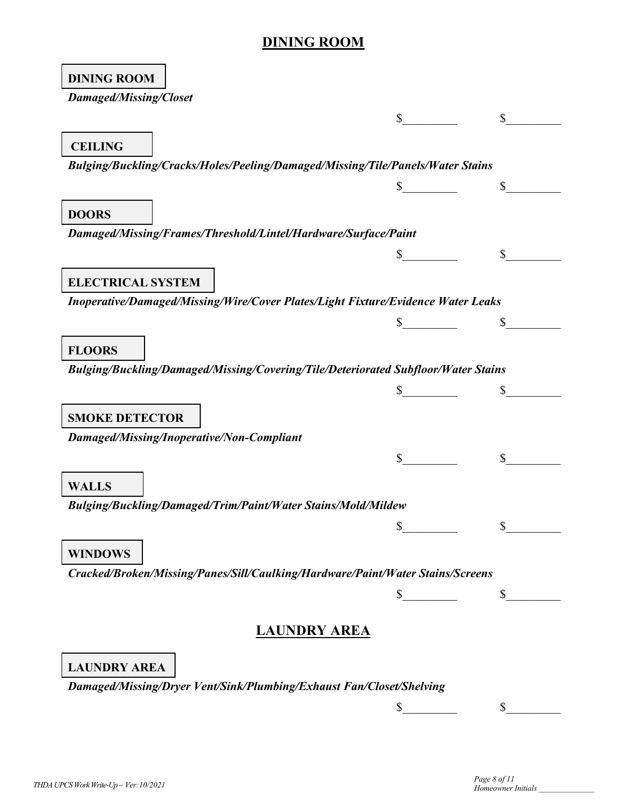## **DINING ROOM**

٦

 $\blacksquare$ 

| <b>DINING ROOM</b>                                                                |             |              |
|-----------------------------------------------------------------------------------|-------------|--------------|
| <b>Damaged/Missing/Closet</b>                                                     |             |              |
|                                                                                   | $\mathbb S$ | $\mathbb{S}$ |
| <b>CEILING</b>                                                                    |             |              |
|                                                                                   |             |              |
| Bulging/Buckling/Cracks/Holes/Peeling/Damaged/Missing/Tile/Panels/Water Stains    |             |              |
|                                                                                   |             | $\mathbb{S}$ |
| <b>DOORS</b>                                                                      |             |              |
| Damaged/Missing/Frames/Threshold/Lintel/Hardware/Surface/Paint                    |             |              |
|                                                                                   |             | $\mathbb{S}$ |
|                                                                                   |             |              |
| <b>ELECTRICAL SYSTEM</b>                                                          |             |              |
| Inoperative/Damaged/Missing/Wire/Cover Plates/Light Fixture/Evidence Water Leaks  |             |              |
|                                                                                   |             |              |
| <b>FLOORS</b>                                                                     |             |              |
| Bulging/Buckling/Damaged/Missing/Covering/Tile/Deteriorated Subfloor/Water Stains |             |              |
|                                                                                   |             |              |
|                                                                                   |             |              |
| <b>SMOKE DETECTOR</b>                                                             |             |              |
| Damaged/Missing/Inoperative/Non-Compliant                                         |             |              |
|                                                                                   | $\mathbb S$ | $\mathbb{S}$ |
| <b>WALLS</b>                                                                      |             |              |
| Bulging/Buckling/Damaged/Trim/Paint/Water Stains/Mold/Mildew                      |             |              |
|                                                                                   | \$          |              |
|                                                                                   |             |              |
| <b>WINDOWS</b>                                                                    |             |              |
| Cracked/Broken/Missing/Panes/Sill/Caulking/Hardware/Paint/Water Stains/Screens    |             |              |
|                                                                                   | \$          | \$           |
|                                                                                   |             |              |
| <b>LAUNDRY AREA</b>                                                               |             |              |
|                                                                                   |             |              |
| <b>LAUNDRY AREA</b>                                                               |             |              |
| Damaged/Missing/Dryer Vent/Sink/Plumbing/Exhaust Fan/Closet/Shelving              |             |              |
|                                                                                   | \$          | \$           |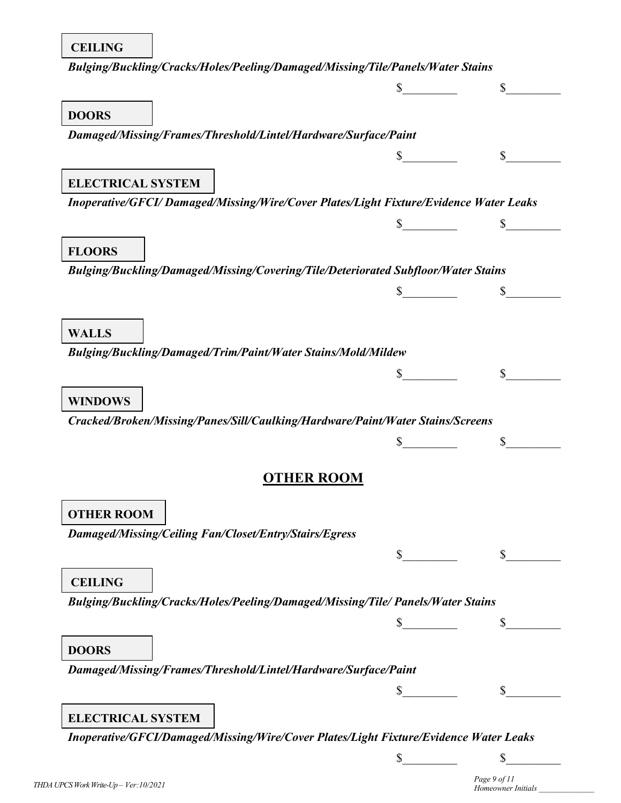| Bulging/Buckling/Cracks/Holes/Peeling/Damaged/Missing/Tile/Panels/Water Stains        |              |  |
|---------------------------------------------------------------------------------------|--------------|--|
|                                                                                       |              |  |
| <b>DOORS</b>                                                                          |              |  |
| Damaged/Missing/Frames/Threshold/Lintel/Hardware/Surface/Paint                        |              |  |
|                                                                                       |              |  |
|                                                                                       |              |  |
| <b>ELECTRICAL SYSTEM</b>                                                              |              |  |
| Inoperative/GFCI/Damaged/Missing/Wire/Cover Plates/Light Fixture/Evidence Water Leaks |              |  |
|                                                                                       |              |  |
| <b>FLOORS</b>                                                                         |              |  |
| Bulging/Buckling/Damaged/Missing/Covering/Tile/Deteriorated Subfloor/Water Stains     |              |  |
|                                                                                       |              |  |
|                                                                                       |              |  |
| <b>WALLS</b>                                                                          |              |  |
| Bulging/Buckling/Damaged/Trim/Paint/Water Stains/Mold/Mildew                          |              |  |
|                                                                                       |              |  |
| <b>WINDOWS</b>                                                                        |              |  |
| Cracked/Broken/Missing/Panes/Sill/Caulking/Hardware/Paint/Water Stains/Screens        |              |  |
|                                                                                       |              |  |
|                                                                                       |              |  |
| <b>OTHER ROOM</b>                                                                     |              |  |
|                                                                                       |              |  |
| <b>OTHER ROOM</b>                                                                     |              |  |
| Damaged/Missing/Ceiling Fan/Closet/Entry/Stairs/Egress                                |              |  |
|                                                                                       | $\mathbb{S}$ |  |
| <b>CEILING</b>                                                                        |              |  |
| Bulging/Buckling/Cracks/Holes/Peeling/Damaged/Missing/Tile/ Panels/Water Stains       |              |  |
|                                                                                       |              |  |
| <b>DOORS</b>                                                                          |              |  |
| Damaged/Missing/Frames/Threshold/Lintel/Hardware/Surface/Paint                        |              |  |
|                                                                                       |              |  |
|                                                                                       |              |  |
| <b>ELECTRICAL SYSTEM</b>                                                              |              |  |
| Inoperative/GFCI/Damaged/Missing/Wire/Cover Plates/Light Fixture/Evidence Water Leaks |              |  |

 $\frac{\text{S}}{\text{S}}$  \$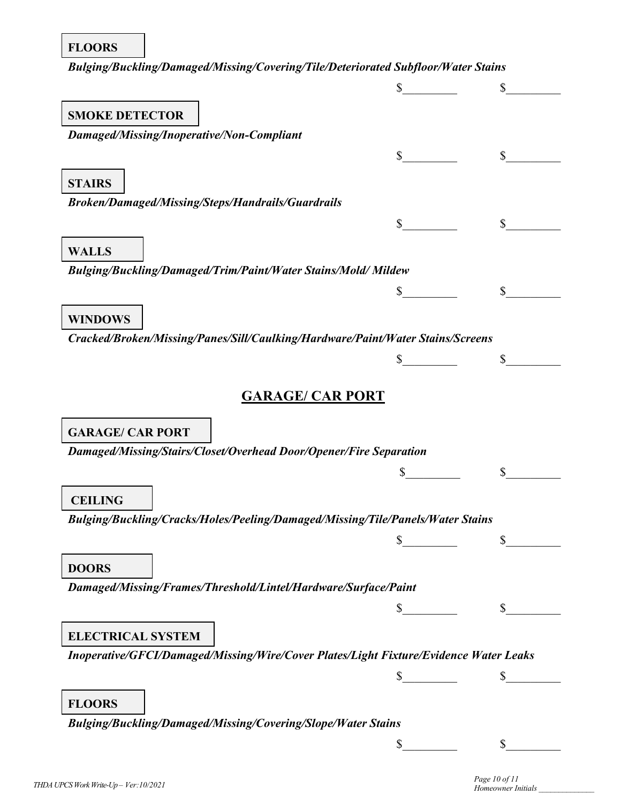| <b>FLOORS</b>                                                                         |        |              |
|---------------------------------------------------------------------------------------|--------|--------------|
| Bulging/Buckling/Damaged/Missing/Covering/Tile/Deteriorated Subfloor/Water Stains     |        |              |
|                                                                                       |        | $\mathbb{S}$ |
| <b>SMOKE DETECTOR</b>                                                                 |        |              |
| Damaged/Missing/Inoperative/Non-Compliant                                             |        |              |
|                                                                                       | $\sim$ | \$           |
|                                                                                       |        |              |
| <b>STAIRS</b><br><b>Broken/Damaged/Missing/Steps/Handrails/Guardrails</b>             |        |              |
|                                                                                       | \$     | \$           |
|                                                                                       |        |              |
| <b>WALLS</b>                                                                          |        |              |
| Bulging/Buckling/Damaged/Trim/Paint/Water Stains/Mold/Mildew                          |        |              |
|                                                                                       | \$     | \$           |
| <b>WINDOWS</b>                                                                        |        |              |
| Cracked/Broken/Missing/Panes/Sill/Caulking/Hardware/Paint/Water Stains/Screens        |        |              |
|                                                                                       |        | \$           |
| <b>GARAGE/ CAR PORT</b>                                                               |        |              |
|                                                                                       |        |              |
| <b>GARAGE/ CAR PORT</b>                                                               |        |              |
| Damaged/Missing/Stairs/Closet/Overhead Door/Opener/Fire Separation                    |        |              |
|                                                                                       |        |              |
| <b>CEILING</b>                                                                        |        |              |
| Bulging/Buckling/Cracks/Holes/Peeling/Damaged/Missing/Tile/Panels/Water Stains        |        |              |
|                                                                                       | \$     | $\mathbb{S}$ |
| <b>DOORS</b>                                                                          |        |              |
| Damaged/Missing/Frames/Threshold/Lintel/Hardware/Surface/Paint                        |        |              |
|                                                                                       |        |              |
|                                                                                       |        |              |
| <b>ELECTRICAL SYSTEM</b>                                                              |        |              |
| Inoperative/GFCI/Damaged/Missing/Wire/Cover Plates/Light Fixture/Evidence Water Leaks |        |              |
|                                                                                       |        |              |

**FLOORS**

*Bulging/Buckling/Damaged/Missing/Covering/Slope/Water Stains*